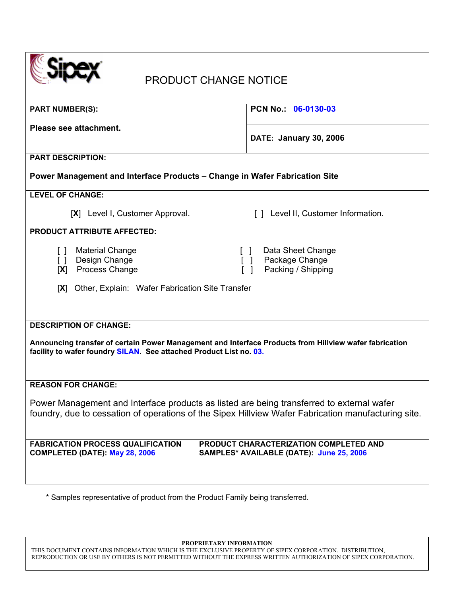| <b>PRODUCT CHANGE NOTICE</b>                                                                                                                                                                                  |                                                                                    |
|---------------------------------------------------------------------------------------------------------------------------------------------------------------------------------------------------------------|------------------------------------------------------------------------------------|
| <b>PART NUMBER(S):</b>                                                                                                                                                                                        | PCN No.: 06-0130-03                                                                |
| Please see attachment.                                                                                                                                                                                        | <b>DATE: January 30, 2006</b>                                                      |
| <b>PART DESCRIPTION:</b>                                                                                                                                                                                      |                                                                                    |
| Power Management and Interface Products - Change in Wafer Fabrication Site                                                                                                                                    |                                                                                    |
| <b>LEVEL OF CHANGE:</b>                                                                                                                                                                                       |                                                                                    |
| [X] Level I, Customer Approval.                                                                                                                                                                               | [] Level II, Customer Information.                                                 |
| <b>PRODUCT ATTRIBUTE AFFECTED:</b>                                                                                                                                                                            |                                                                                    |
| <b>Material Change</b><br>$\Box$<br>Design Change<br>$\Box$<br>Process Change<br>[X]                                                                                                                          | Data Sheet Change<br>Package Change<br>Packing / Shipping                          |
| Other, Explain: Wafer Fabrication Site Transfer<br> X                                                                                                                                                         |                                                                                    |
| <b>DESCRIPTION OF CHANGE:</b><br>Announcing transfer of certain Power Management and Interface Products from Hillview wafer fabrication<br>facility to wafer foundry SILAN. See attached Product List no. 03. |                                                                                    |
| <b>REASON FOR CHANGE:</b>                                                                                                                                                                                     |                                                                                    |
| Power Management and Interface products as listed are being transferred to external wafer<br>foundry, due to cessation of operations of the Sipex Hillview Wafer Fabrication manufacturing site.              |                                                                                    |
| <b>FABRICATION PROCESS QUALIFICATION</b><br><b>COMPLETED (DATE): May 28, 2006</b>                                                                                                                             | PRODUCT CHARACTERIZATION COMPLETED AND<br>SAMPLES* AVAILABLE (DATE): June 25, 2006 |

\* Samples representative of product from the Product Family being transferred.

**PROPRIETARY INFORMATION** 

THIS DOCUMENT CONTAINS INFORMATION WHICH IS THE EXCLUSIVE PROPERTY OF SIPEX CORPORATION. DISTRIBUTION, REPRODUCTION OR USE BY OTHERS IS NOT PERMITTED WITHOUT THE EXPRESS WRITTEN AUTHORIZATION OF SIPEX CORPORATION.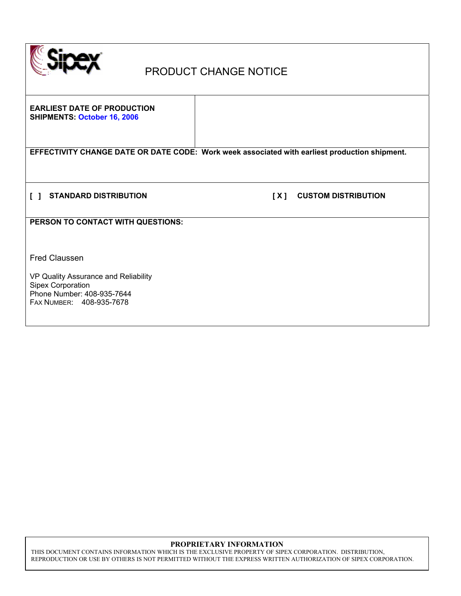

# PRODUCT CHANGE NOTICE

**EARLIEST DATE OF PRODUCTION SHIPMENTS: October 16, 2006** 

**EFFECTIVITY CHANGE DATE OR DATE CODE: Work week associated with earliest production shipment.** 

**[ ] STANDARD DISTRIBUTION [ X ] CUSTOM DISTRIBUTION** 

**PERSON TO CONTACT WITH QUESTIONS:** 

Fred Claussen

VP Quality Assurance and Reliability Sipex Corporation Phone Number: 408-935-7644 FAX NUMBER: 408-935-7678

### **PROPRIETARY INFORMATION**

THIS DOCUMENT CONTAINS INFORMATION WHICH IS THE EXCLUSIVE PROPERTY OF SIPEX CORPORATION. DISTRIBUTION, REPRODUCTION OR USE BY OTHERS IS NOT PERMITTED WITHOUT THE EXPRESS WRITTEN AUTHORIZATION OF SIPEX CORPORATION.